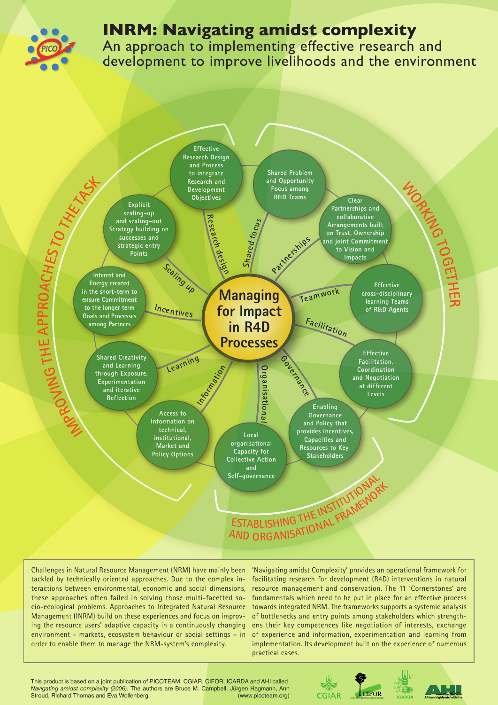

## **INRM: Navigating amidst complexity**

An approach to implementing effective research and development to improve livelihoods and the environment



Challenges in Natural Resource Management (NRM) have mainly been tackled by technically oriented approaches. Due to the complex interactions between environmental, economic and social dimensions, these approaches often failed in solving those multi-facetted socio-ecological problems. Approaches to Integrated Natural Resource Management (INRM) build on these experiences and focus on improving the resource users' adaptive capacity in a continuously changing environment - markets, ecosystem behaviour or social settings – in order to enable them to manage the NRM-system's complexity.

'Navigating amidst Complexity' provides an operational framework for facilitating research for development (R4D) interventions in natural resource management and conservation. The 11 'Cornerstones' are fundamentals which need to be put in place for an effective process towards integrated NRM. The frameworks supports a systemic analysis of bottlenecks and entry points among stakeholders which strengthens their key competences like negotiation of interests, exchange of experience and information, experimentation and learning from implementation. Its development built on the experience of numerous practical cases.

This product is based on a joint publication of PICOTEAM, CGIAR, CIFOR, ICARDA and AHI called *Navigating amidst complexity (2006)*. The authors are Bruce M. Campbell, Jürgen Hagmann, Ann Stroud, Richard Thomas and Eva Wollenberg.